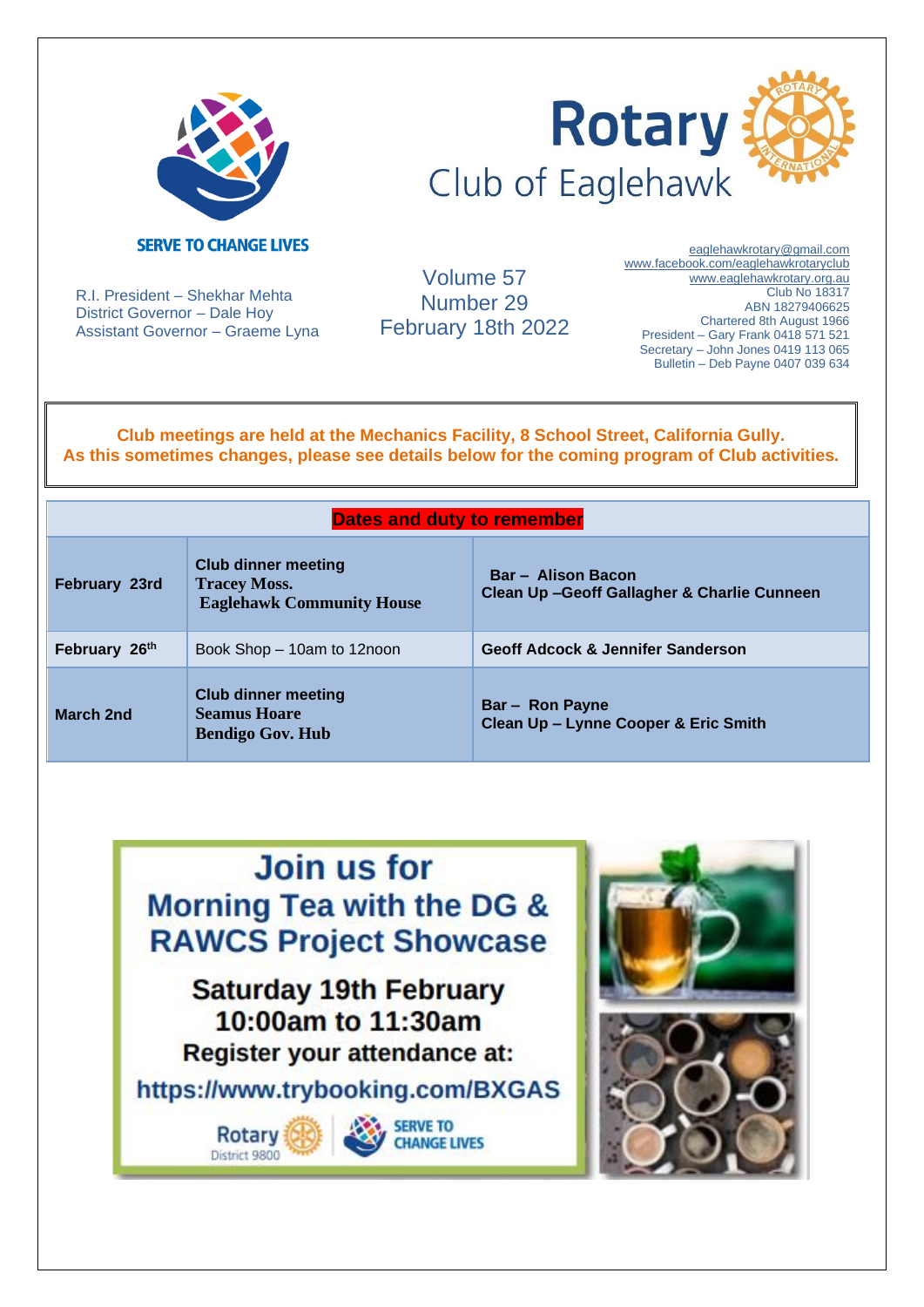



R.I. President – Shekhar Mehta District Governor – Dale Hoy Assistant Governor – Graeme Lyna

Volume 57 Number 29 February 18th 2022

[eaglehawkrotary@gmail.com](mailto:eaglehawkrotary@gmail.com)  [www.facebook.com/eaglehawkrotaryclub](http://www.facebook.com/eaglehawkrotaryclub) www.eaglehawkrotary.org.au Club No 18317 ABN 18279406625 Chartered 8th August 1966 President – Gary Frank 0418 571 521 Secretary – John Jones 0419 113 065 Bulletin – Deb Payne 0407 039 634

**Club meetings are held at the Mechanics Facility, 8 School Street, California Gully. As this sometimes changes, please see details below for the coming program of Club activities.**

#### **Dates and duty to remember**

| <b>February 23rd</b> | <b>Club dinner meeting</b><br><b>Tracey Moss.</b><br><b>Eaglehawk Community House</b> | <b>Bar - Alison Bacon</b><br>Clean Up-Geoff Gallagher & Charlie Cunneen |
|----------------------|---------------------------------------------------------------------------------------|-------------------------------------------------------------------------|
| February 26th        | Book Shop - 10am to 12noon                                                            | <b>Geoff Adcock &amp; Jennifer Sanderson</b>                            |
| <b>March 2nd</b>     | <b>Club dinner meeting</b><br><b>Seamus Hoare</b><br><b>Bendigo Gov. Hub</b>          | <b>Bar-Ron Payne</b><br>Clean Up - Lynne Cooper & Eric Smith            |

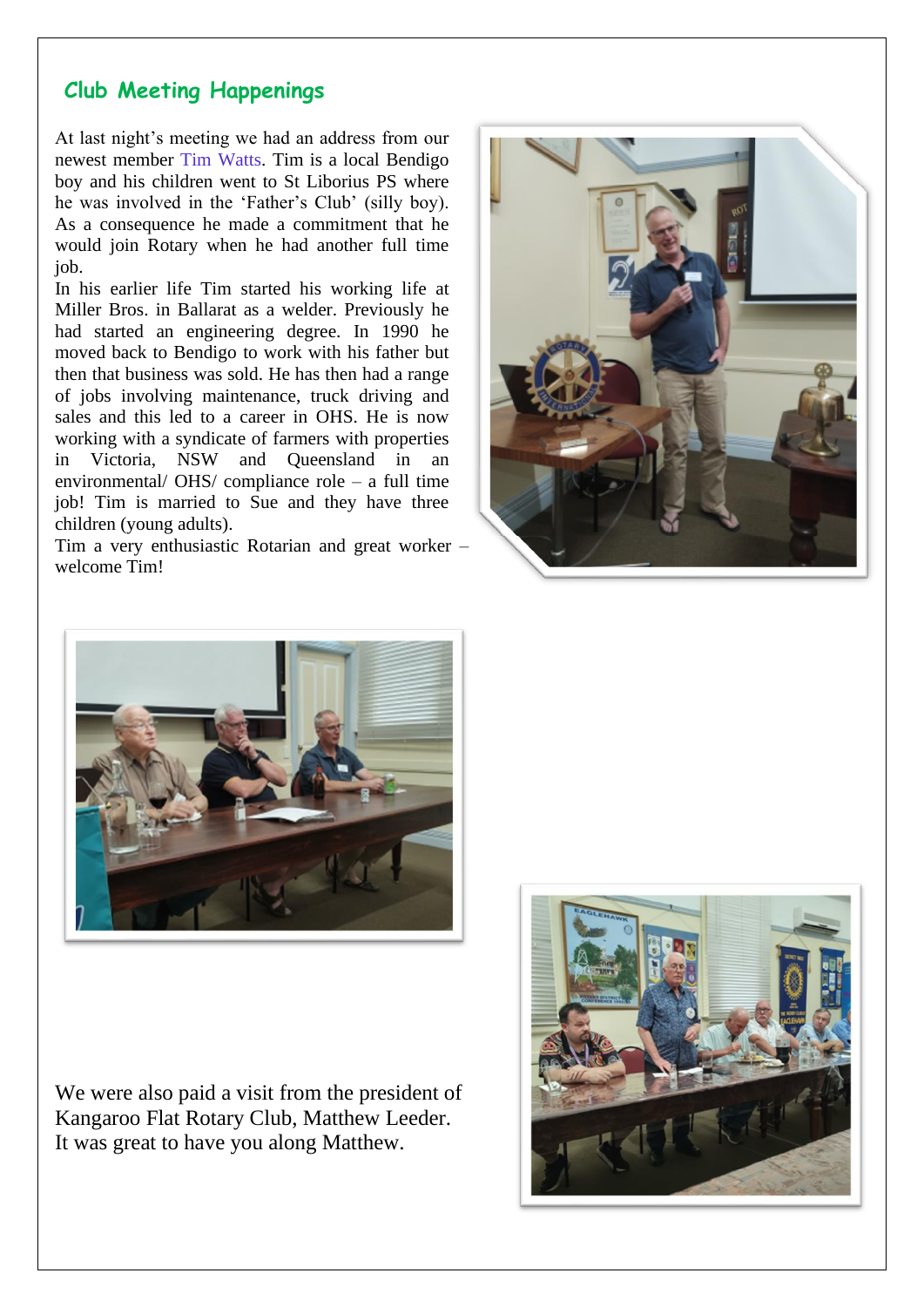#### **Club Meeting Happenings**

At last night's meeting we had an address from our newest member Tim Watts. Tim is a local Bendigo boy and his children went to St Liborius PS where he was involved in the 'Father's Club' (silly boy). As a consequence he made a commitment that he would join Rotary when he had another full time job.

In his earlier life Tim started his working life at Miller Bros. in Ballarat as a welder. Previously he had started an engineering degree. In 1990 he moved back to Bendigo to work with his father but then that business was sold. He has then had a range of jobs involving maintenance, truck driving and sales and this led to a career in OHS. He is now working with a syndicate of farmers with properties in Victoria, NSW and Queensland in an environmental/ OHS/ compliance role – a full time job! Tim is married to Sue and they have three children (young adults).

Tim a very enthusiastic Rotarian and great worker – welcome Tim!





We were also paid a visit from the president of Kangaroo Flat Rotary Club, Matthew Leeder. It was great to have you along Matthew.

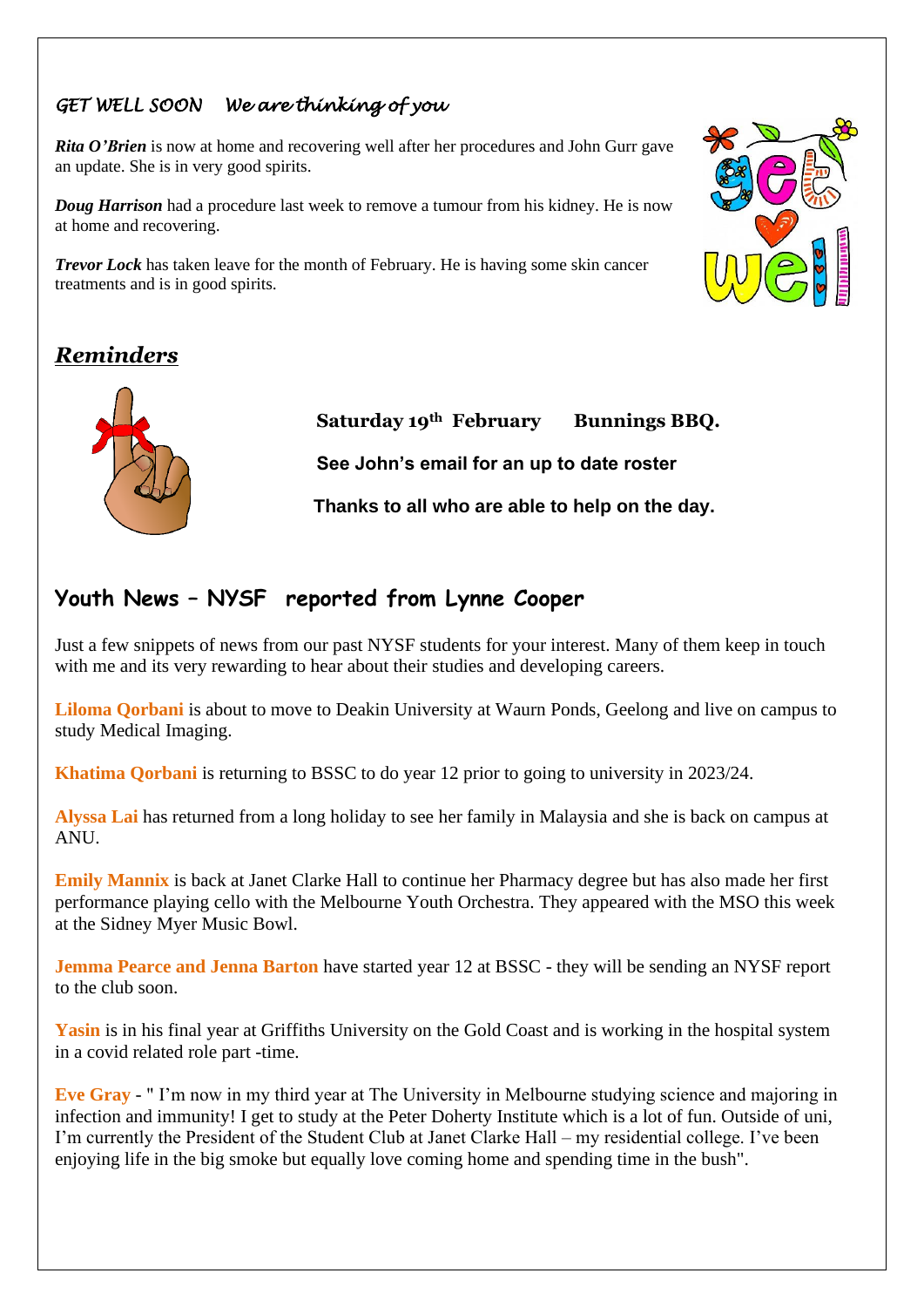#### *GET WELL SOON We are thinking of you*

*Rita O'Brien* is now at home and recovering well after her procedures and John Gurr gave an update. She is in very good spirits.

*Doug Harrison* had a procedure last week to remove a tumour from his kidney. He is now at home and recovering.

*Trevor Lock* has taken leave for the month of February. He is having some skin cancer treatments and is in good spirits.



## *Reminders*



**Saturday 19th February Bunnings BBQ.**

**See John's email for an up to date roster** 

 **Thanks to all who are able to help on the day.**

### **Youth News – NYSF reported from Lynne Cooper**

Just a few snippets of news from our past NYSF students for your interest. Many of them keep in touch with me and its very rewarding to hear about their studies and developing careers.

**Liloma Qorbani** is about to move to Deakin University at Waurn Ponds, Geelong and live on campus to study Medical Imaging.

**Khatima Qorbani** is returning to BSSC to do year 12 prior to going to university in 2023/24.

**Alyssa Lai** has returned from a long holiday to see her family in Malaysia and she is back on campus at ANU.

**Emily Mannix** is back at Janet Clarke Hall to continue her Pharmacy degree but has also made her first performance playing cello with the Melbourne Youth Orchestra. They appeared with the MSO this week at the Sidney Myer Music Bowl.

**Jemma Pearce and Jenna Barton** have started year 12 at BSSC - they will be sending an NYSF report to the club soon.

**Yasin** is in his final year at Griffiths University on the Gold Coast and is working in the hospital system in a covid related role part -time.

**Eve Gray** - " I'm now in my third year at The University in Melbourne studying science and majoring in infection and immunity! I get to study at the Peter Doherty Institute which is a lot of fun. Outside of uni, I'm currently the President of the Student Club at Janet Clarke Hall – my residential college. I've been enjoying life in the big smoke but equally love coming home and spending time in the bush".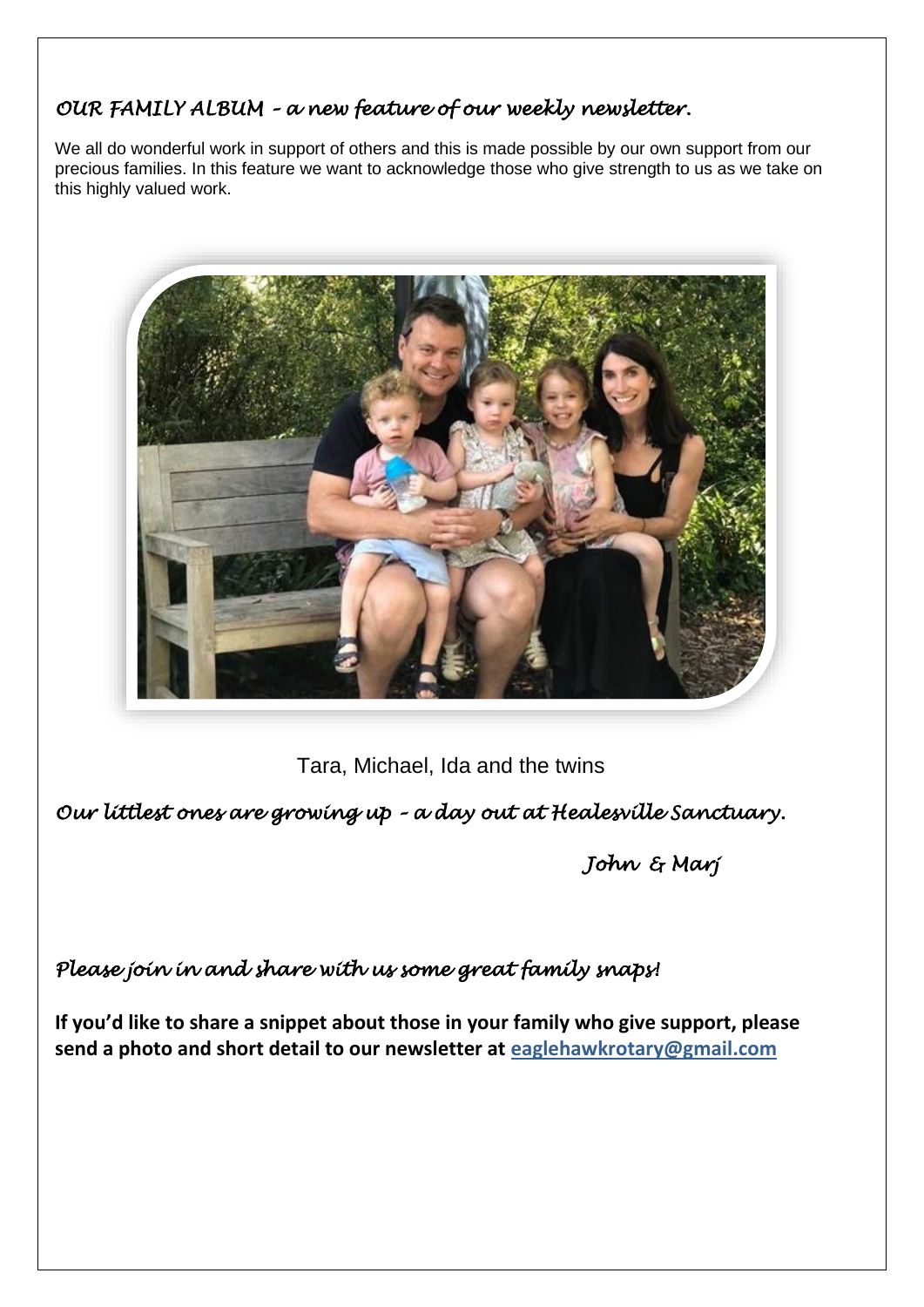#### *OUR FAMILY ALBUM – a new feature of our weekly newsletter.*

We all do wonderful work in support of others and this is made possible by our own support from our precious families. In this feature we want to acknowledge those who give strength to us as we take on this highly valued work.



Tara, Michael, Ida and the twins

*Our littlest ones are growing up – a day out at Healesville Sanctuary.* 

*John & Marj* 

### *Please join in and share with us some great family snaps!*

**If you'd like to share a snippet about those in your family who give support, please send a photo and short detail to our newsletter at [eaglehawkrotary@gmail.com](mailto:eaglehawkrotary@gmail.com)**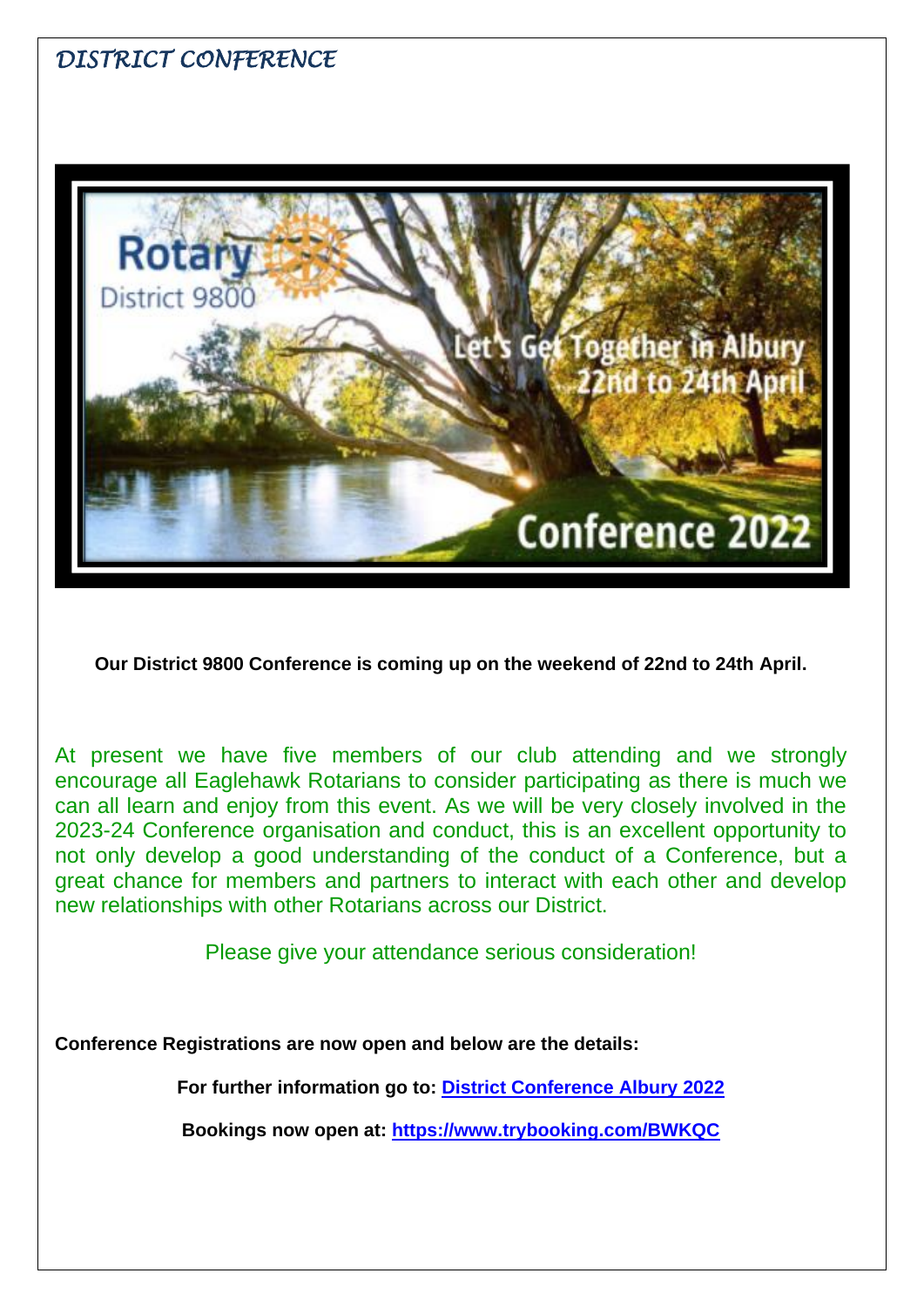# *DISTRICT CONFERENCE*



**Our District 9800 Conference is coming up on the weekend of 22nd to 24th April.**

At present we have five members of our club attending and we strongly encourage all Eaglehawk Rotarians to consider participating as there is much we can all learn and enjoy from this event. As we will be very closely involved in the 2023-24 Conference organisation and conduct, this is an excellent opportunity to not only develop a good understanding of the conduct of a Conference, but a great chance for members and partners to interact with each other and develop new relationships with other Rotarians across our District.

Please give your attendance serious consideration!

**Conference Registrations are now open and below are the details:**

**For further information go to: [District Conference Albury 2022](https://rotarydistrict9800.org.au/sitepage/district-conference-albury-2022)**

**Bookings now open at: <https://www.trybooking.com/BWKQC>**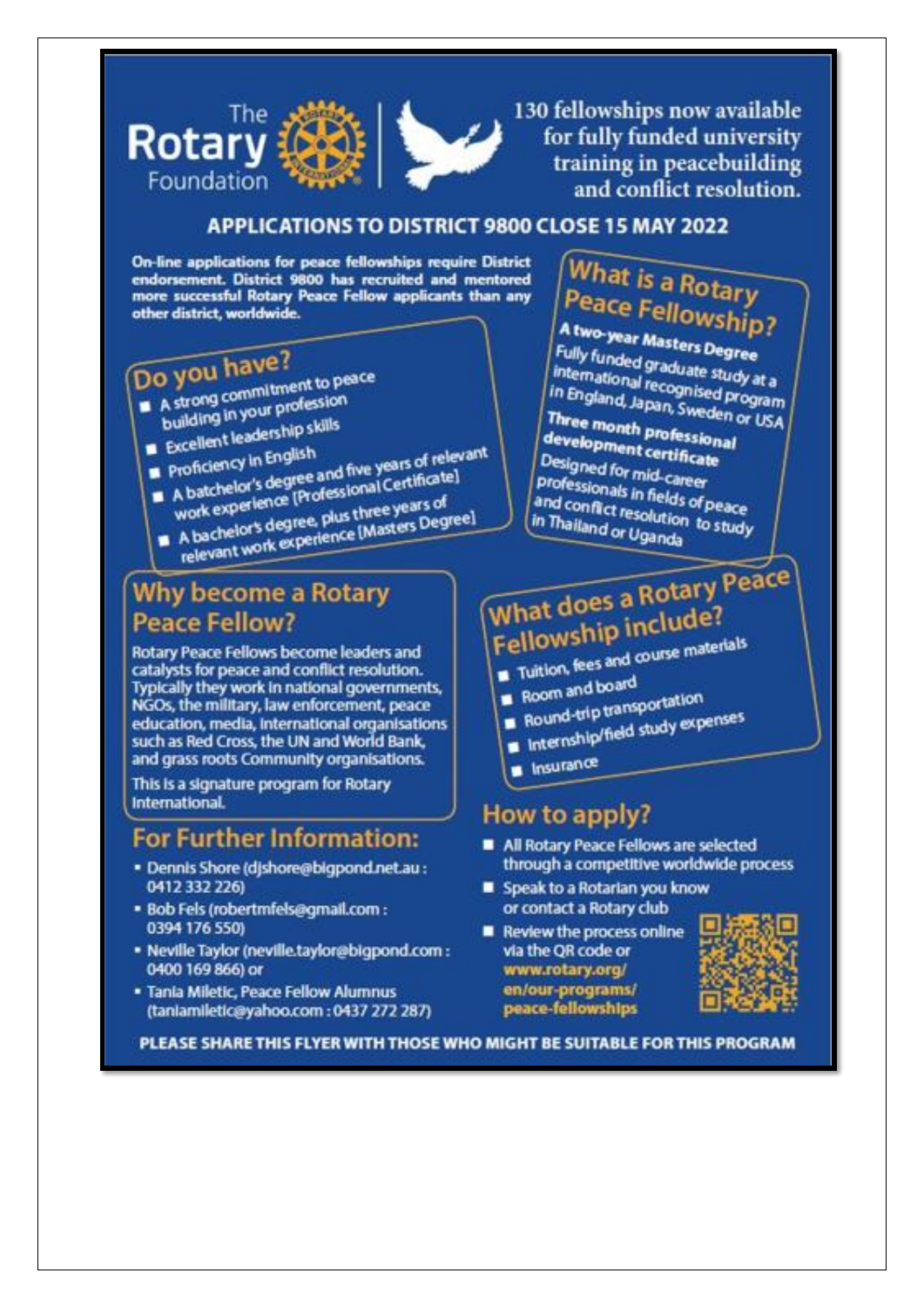

130 fellowships now available for fully funded university training in peacebuilding and conflict resolution.

#### **APPLICATIONS TO DISTRICT 9800 CLOSE 15 MAY 2022**

On-line applications for peace fellowships require District endorsement. District 9800 has recruited and mentored more successful Rotary Peace Fellow applicants than any other district, worldwide.

# Do you have?

- 
- A strong commitment to peace building in your profession Excellent leadership skills
	-
	- Proficiency in English
	- A batchelor's degree and five years of relevant work experience [Professional Certificate]
	- A bachelor's degree, plus three years of relevant work experience [Masters Degree]
	-

# **Why become a Rotary Peace Fellow?**

Rotary Peace Fellows become leaders and catalysts for peace and conflict resolution. Typically they work in national governments. NGOs, the military, law enforcement, peace education, media, international organisations such as Red Cross, the UN and World Bank, and grass roots Community organisations.

This is a signature program for Rotary **International.** 

# For Further Information:

- · Dennis Shore (d)shore@bigpond.net.au: 0412 332 226)
- · Bob Fels (robertmfels@gmail.com : 0394 176 550)
- · Neville Taylor (neville.taylor@bigpond.com : 0400 169 866) or
- · Tania Miletic, Peace Fellow Alumnus (taniamiletic@yahoo.com: 0437 272 287)

# **What is a Rotary Peace Fellowship?**

A two-year Masters Degree Fully funded graduate study at a international recognised program in England, Japan, Sweden or USA

Three month professional development certificate Designed for mid-career professionals in fields of peace and conflict resolution to study in Thailand or Uganda

# What does a Rotary Peace Fellowship include?

- Tuitlon, fees and course materials
- Room and board
- Round-trip transportation
- Internship/field study expenses
- 
- n Insurance

## How to apply?

- All Rotary Peace Fellows are selected through a competitive worldwide process
- Speak to a Rotarian you know or contact a Rotary club
- Review the process online via the QR code or www.rotary.org/ en/our-programs/ peace-fellowships



PLEASE SHARE THIS FLYER WITH THOSE WHO MIGHT BE SUITABLE FOR THIS PROGRAM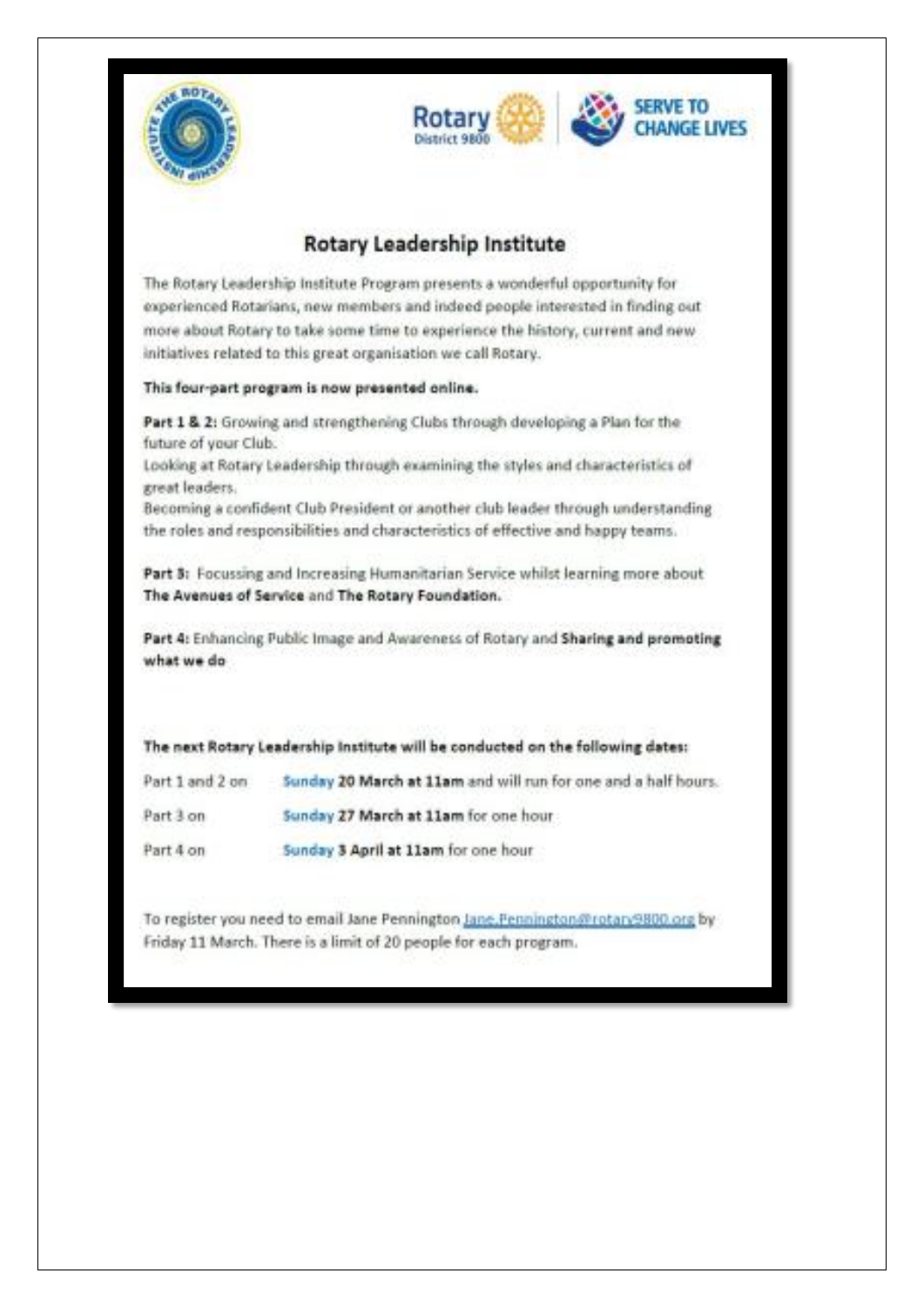



#### **Rotary Leadership Institute**

The Rotary Leadership Institute Program presents a wonderful opportunity for experienced Rotarians, new members and indeed people interested in finding out more about Rotary to take some time to experience the history, current and new initiatives related to this great organisation we call Rotary.

#### This four-part program is now presented online.

Part 1 & 2: Growing and strengthening Clubs through developing a Plan for the future of your Club.

Looking at Rotary Leadership through examining the styles and characteristics of great leaders.

Becoming a confident Club President or another club leader through understanding the roles and responsibilities and characteristics of effective and happy teams.

Part 3: Focussing and Increasing Humanitarian Service whilst learning more about The Avenues of Service and The Rotary Foundation.

Part 4: Enhancing Public Image and Awareness of Rotary and Sharing and promoting what we do

|           | The next Rotary Leadership Institute will be conducted on the following dates: |
|-----------|--------------------------------------------------------------------------------|
|           | Part 1 and 2 on 5unday 20 March at 11am and will run for one and a half hours. |
| Part 3 on | Sunday 27 March at 11am for one hour                                           |
| Part 4 on | Sunday 3 April at 11am for one hour                                            |

To register you need to email Jane Pennington Jane Fennington @rotan 9800 org by Friday 11 March. There is a limit of 20 people for each program.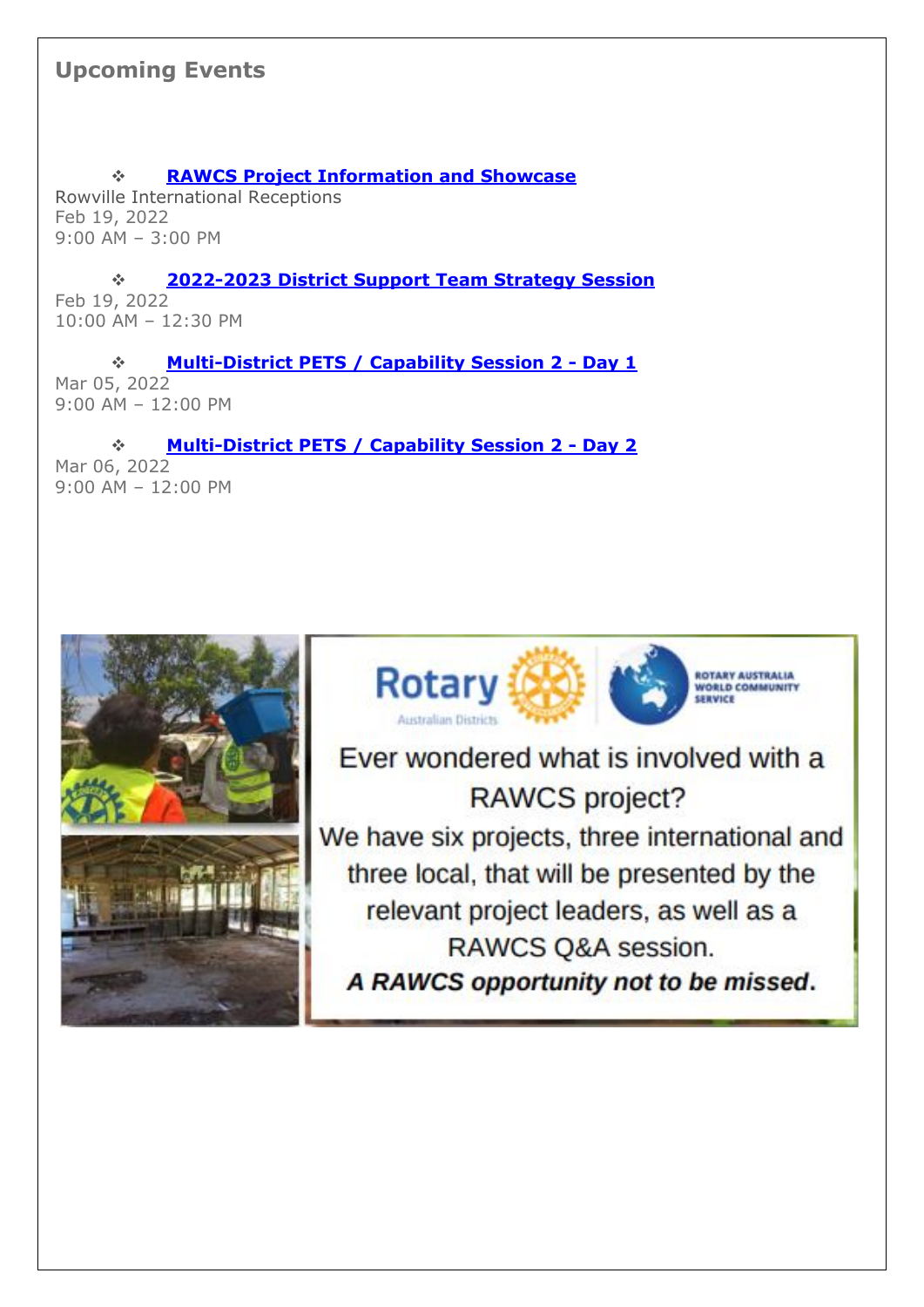### **Upcoming Events**

❖ **[RAWCS Project Information and Showcase](http://portal.clubrunner.ca/50232/Event/rawcs-agm-and-showcase)** Rowville International Receptions Feb 19, 2022 9:00 AM – 3:00 PM

❖ **[2022-2023 District Support Team Strategy Session](http://portal.clubrunner.ca/50232/Event/2022-2023-district-support-team-planning-day)** Feb 19, 2022 10:00 AM – 12:30 PM

❖ **[Multi-District PETS / Capability Session 2 -](http://portal.clubrunner.ca/50232/Event/multi-district-pets---capability-session-2---day-1) Day 1** Mar 05, 2022 9:00 AM – 12:00 PM

❖ **[Multi-District PETS / Capability Session 2 -](http://portal.clubrunner.ca/50232/Event/multi-district-pets---capability-session-2---day-2) Day 2** Mar 06, 2022 9:00 AM – 12:00 PM





Ever wondered what is involved with a RAWCS project? We have six projects, three international and three local, that will be presented by the relevant project leaders, as well as a RAWCS Q&A session. A RAWCS opportunity not to be missed.